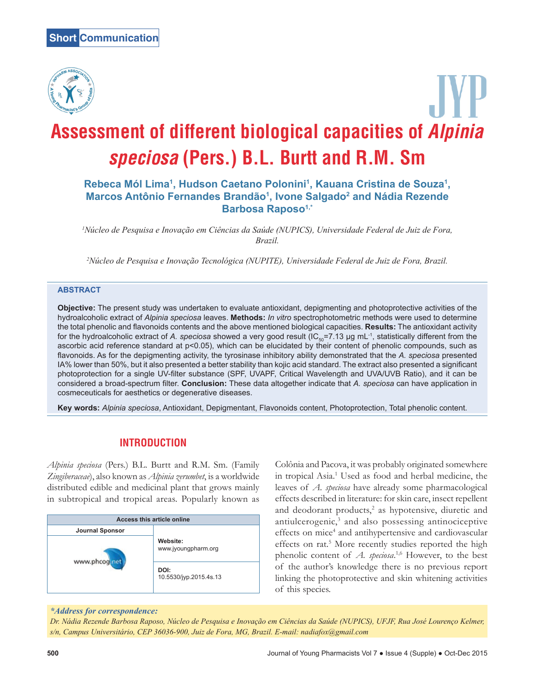

# **Assessment of different biological capacities of Alpinia speciosa (Pers.) B.L. Burtt and R.M. Sm**

# Rebeca Mól Lima<sup>1</sup>, Hudson Caetano Polonini<sup>1</sup>, Kauana Cristina de Souza<sup>1</sup>, **Marcos Antônio Fernandes Brandão1 , Ivone Salgado2 and Nádia Rezende Barbosa Raposo1,\***

*1 Núcleo de Pesquisa e Inovação em Ciências da Saúde (NUPICS), Universidade Federal de Juiz de Fora, Brazil.*

*2 Núcleo de Pesquisa e Inovação Tecnológica (NUPITE), Universidade Federal de Juiz de Fora, Brazil.*

## **ABSTRACT**

**Objective:** The present study was undertaken to evaluate antioxidant, depigmenting and photoprotective activities of the hydroalcoholic extract of *Alpinia speciosa* leaves. **Methods:** *In vitro* spectrophotometric methods were used to determine the total phenolic and flavonoids contents and the above mentioned biological capacities. **Results:** The antioxidant activity for the hydroalcoholic extract of A. speciosa showed a very good result (IC<sub>50</sub>=7.13 µg mL<sup>-1</sup>, statistically different from the ascorbic acid reference standard at p<0.05), which can be elucidated by their content of phenolic compounds, such as flavonoids. As for the depigmenting activity, the tyrosinase inhibitory ability demonstrated that the *A. speciosa* presented IA% lower than 50%, but it also presented a better stability than kojic acid standard. The extract also presented a significant photoprotection for a single UV-filter substance (SPF, UVAPF, Critical Wavelength and UVA/UVB Ratio), and it can be considered a broad-spectrum filter. **Conclusion:** These data altogether indicate that *A. speciosa* can have application in cosmeceuticals for aesthetics or degenerative diseases.

**Key words:** *Alpinia speciosa*, Antioxidant, Depigmentant, Flavonoids content, Photoprotection, Total phenolic content.

# **INTRODUCTION**

*Alpinia speciosa* (Pers.) B.L. Burtt and R.M. Sm. (Family *Zingiberaceae*), also known as *Alpinia zerumbet*, is a worldwide distributed edible and medicinal plant that grows mainly in subtropical and tropical areas. Popularly known as



Colônia and Pacova, it was probably originated somewhere in tropical Asia.1 Used as food and herbal medicine, the leaves of *A. speciosa* have already some pharmacological effects described in literature: for skin care, insect repellent and deodorant products,<sup>2</sup> as hypotensive, diuretic and antiulcerogenic,<sup>3</sup> and also possessing antinociceptive effects on mice<sup>4</sup> and antihypertensive and cardiovascular effects on rat.<sup>5</sup> More recently studies reported the high phenolic content of *A. speciosa*. 1,6 However, to the best of the author's knowledge there is no previous report linking the photoprotective and skin whitening activities of this species.

#### *\*Address for correspondence:*

*Dr. Nádia Rezende Barbosa Raposo, Núcleo de Pesquisa e Inovação em Ciências da Saúde (NUPICS), UFJF, Rua José Lourenço Kelmer, s/n, Campus Universitário, CEP 36036-900, Juiz de Fora, MG, Brazil. E-mail: nadiafox@gmail.com*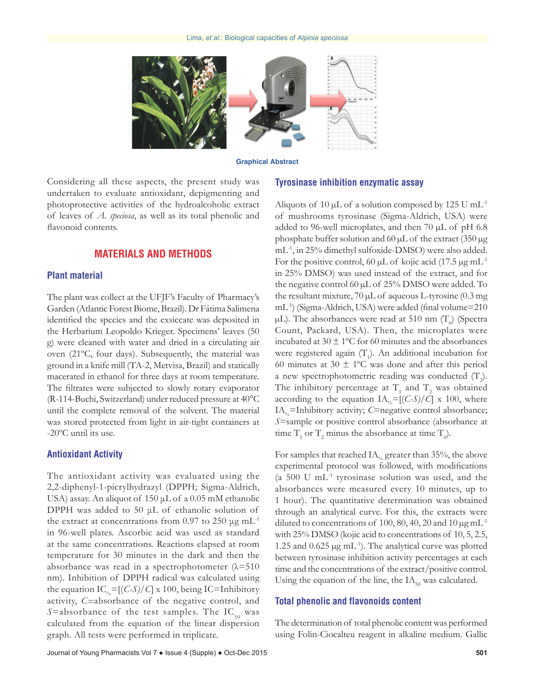

**Graphical Abstract**

Considering all these aspects, the present study was undertaken to evaluate antioxidant, depigmenting and photoprotective activities of the hydroalcoholic extract of leaves of *A. speciosa*, as well as its total phenolic and flavonoid contents.

## **MATERIALS AND METHODS**

## **Plant material**

The plant was collect at the UFJF's Faculty of Pharmacy's Garden (Atlantic Forest Biome, Brazil). Dr Fátima Salimena identified the species and the exsiccate was deposited in the Herbarium Leopoldo Krieger. Specimens' leaves (50 g) were cleaned with water and dried in a circulating air oven (21ºC, four days). Subsequently, the material was ground in a knife mill (TA-2, Metvisa, Brazil) and statically macerated in ethanol for three days at room temperature. The filtrates were subjected to slowly rotary evaporator (R-114-Buchi, Switzerland) under reduced pressure at 40°C until the complete removal of the solvent. The material was stored protected from light in air-tight containers at -20ºC until its use.

## **Antioxidant Activity**

The antioxidant activity was evaluated using the 2,2-diphenyl-1-picrylhydrazyl (DPPH; Sigma-Aldrich, USA) assay. An aliquot of 150 μL of a 0.05 mM ethanolic DPPH was added to 50 μL of ethanolic solution of the extract at concentrations from 0.97 to 250  $\mu$ g mL<sup>-1</sup> in 96-well plates. Ascorbic acid was used as standard at the same concentrations. Reactions elapsed at room temperature for 30 minutes in the dark and then the absorbance was read in a spectrophotometer  $(\lambda = 510)$ nm). Inhibition of DPPH radical was calculated using the equation  $IC_{\gamma} = [(C-S)/C] \times 100$ , being IC=Inhibitory activity, *C=*absorbance of the negative control, and *S*=absorbance of the test samples. The IC<sub>50</sub> was calculated from the equation of the linear dispersion graph. All tests were performed in triplicate.

#### **Tyrosinase inhibition enzymatic assay**

Aliquots of 10  $\mu$ L of a solution composed by 125 U mL<sup>-1</sup> of mushrooms tyrosinase (Sigma-Aldrich, USA) were added to 96-well microplates, and then 70 µL of pH 6.8 phosphate buffer solution and 60  $\mu$ L of the extract (350  $\mu$ g mL-1, in 25% dimethyl sulfoxide-DMSO) were also added. For the positive control, 60  $\mu$ L of kojic acid (17.5  $\mu$ g mL<sup>-1</sup> in 25% DMSO) was used instead of the extract, and for the negative control 60 µL of 25% DMSO were added. To the resultant mixture,  $70 \mu L$  of aqueous L-tyrosine (0.3 mg) mL-1) (Sigma-Aldrich, USA) were added (final volume=210  $\mu$ L). The absorbances were read at 510 nm (T<sub>0</sub>) (Spectra Count, Packard, USA). Then, the microplates were incubated at  $30 \pm 1$ °C for 60 minutes and the absorbances were registered again  $(T_1)$ . An additional incubation for 60 minutes at 30  $\pm$  1°C was done and after this period a new spectrophotometric reading was conducted  $(T_2)$ . The inhibitory percentage at  $T_1$  and  $T_2$  was obtained according to the equation  $IA_{\text{O}_6}=[(C-S)/C] \times 100$ , where IA<sub>%</sub>=Inhibitory activity; *C*=negative control absorbance; *S*=sample or positive control absorbance (absorbance at time  $T_1$  or  $T_2$  minus the absorbance at time  $T_0$ ).

For samples that reached  $IA_{\nu}$  greater than 35%, the above experimental protocol was followed, with modifications (a 500 U mL $^{-1}$  tyrosinase solution was used, and the absorbances were measured every 10 minutes, up to 1 hour). The quantitative determination was obtained through an analytical curve. For this, the extracts were diluted to concentrations of 100, 80, 40, 20 and 10  $\mu$ g mL<sup>-1</sup> with 25% DMSO (kojic acid to concentrations of 10, 5, 2.5, 1.25 and 0.625 µg mL-1). The analytical curve was plotted between tyrosinase inhibition activity percentages at each time and the concentrations of the extract/positive control. Using the equation of the line, the  $IA<sub>50</sub>$  was calculated.

#### **Total phenolic and flavonoids content**

The determination of total phenolic content was performed using Folin-Ciocalteu reagent in alkaline medium. Gallic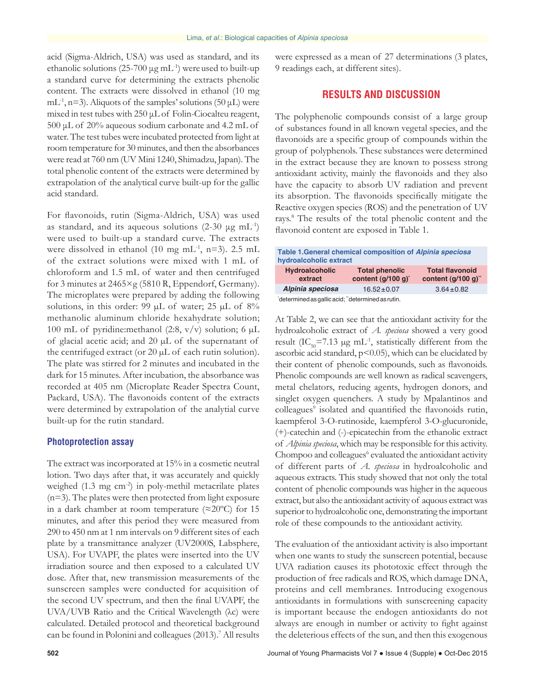acid (Sigma-Aldrich, USA) was used as standard, and its ethanolic solutions (25-700  $\mu$ g mL<sup>-1</sup>) were used to built-up a standard curve for determining the extracts phenolic content. The extracts were dissolved in ethanol (10 mg mL<sup>-1</sup>, n=3). Aliquots of the samples' solutions (50  $\mu$ L) were mixed in test tubes with 250 μL of Folin-Ciocalteu reagent, 500 μL of 20% aqueous sodium carbonate and 4.2 mL of water. The test tubes were incubated protected from light at room temperature for 30 minutes, and then the absorbances were read at 760 nm (UV Mini 1240, Shimadzu, Japan). The total phenolic content of the extracts were determined by extrapolation of the analytical curve built-up for the gallic acid standard.

For flavonoids, rutin (Sigma-Aldrich, USA) was used as standard, and its aqueous solutions  $(2-30 \mu g \text{ mL}^{-1})$ were used to built-up a standard curve. The extracts were dissolved in ethanol (10 mg mL<sup>-1</sup>, n=3). 2.5 mL of the extract solutions were mixed with 1 mL of chloroform and 1.5 mL of water and then centrifuged for 3 minutes at 2465×g (5810 R, Eppendorf, Germany). The microplates were prepared by adding the following solutions, in this order: 99  $\mu$ L of water; 25  $\mu$ L of 8% methanolic aluminum chloride hexahydrate solution; 100 mL of pyridine: methanol (2:8,  $v/v$ ) solution; 6 µL of glacial acetic acid; and 20 µL of the supernatant of the centrifuged extract (or 20 µL of each rutin solution). The plate was stirred for 2 minutes and incubated in the dark for 15 minutes. After incubation, the absorbance was recorded at 405 nm (Microplate Reader Spectra Count, Packard, USA). The flavonoids content of the extracts were determined by extrapolation of the analytial curve built-up for the rutin standard.

## **Photoprotection assay**

The extract was incorporated at 15% in a cosmetic neutral lotion. Two days after that, it was accurately and quickly weighed (1.3 mg cm<sup>-2</sup>) in poly-methil metacrilate plates (n=3). The plates were then protected from light exposure in a dark chamber at room temperature ( $\approx$ 20°C) for 15 minutes, and after this period they were measured from 290 to 450 nm at 1 nm intervals on 9 different sites of each plate by a transmittance analyzer (UV2000S, Labsphere, USA). For UVAPF, the plates were inserted into the UV irradiation source and then exposed to a calculated UV dose. After that, new transmission measurements of the sunscreen samples were conducted for acquisition of the second UV spectrum, and then the final UVAPF, the UVA/UVB Ratio and the Critical Wavelength (λc) were calculated. Detailed protocol and theoretical background can be found in Polonini and colleagues (2013).<sup>7</sup> All results

were expressed as a mean of 27 determinations (3 plates, 9 readings each, at different sites).

## **RESULTS AND DISCUSSION**

The polyphenolic compounds consist of a large group of substances found in all known vegetal species, and the flavonoids are a specific group of compounds within the group of polyphenols. These substances were determined in the extract because they are known to possess strong antioxidant activity, mainly the flavonoids and they also have the capacity to absorb UV radiation and prevent its absorption. The flavonoids specifically mitigate the Reactive oxygen species (ROS) and the penetration of UV rays.8 The results of the total phenolic content and the flavonoid content are exposed in Table 1.

| Table 1. General chemical composition of Alpinia speciosa<br>hydroalcoholic extract |                                             |                                                   |  |  |
|-------------------------------------------------------------------------------------|---------------------------------------------|---------------------------------------------------|--|--|
| <b>Hydroalcoholic</b><br>extract                                                    | <b>Total phenolic</b><br>content (g/100 g)* | <b>Total flavonoid</b><br>content $(q/100 q)^{n}$ |  |  |
| Alpinia speciosa                                                                    | $16.52 \pm 0.07$                            | $3.64 \pm 0.82$                                   |  |  |
| determined as gallic acid; "determined as rutin.                                    |                                             |                                                   |  |  |

At Table 2, we can see that the antioxidant activity for the hydroalcoholic extract of *A. speciosa* showed a very good result (IC<sub>50</sub>=7.13 µg mL<sup>-1</sup>, statistically different from the ascorbic acid standard,  $p$ <0.05), which can be elucidated by their content of phenolic compounds, such as flavonoids. Phenolic compounds are well known as radical scavengers, metal chelators, reducing agents, hydrogen donors, and singlet oxygen quenchers. A study by Mpalantinos and colleagues<sup>9</sup> isolated and quantified the flavonoids rutin, kaempferol 3-O-rutinoside, kaempferol 3-O-glucuronide, (+)-catechin and (-)-epicatechin from the ethanolic extract of *Alpinia speciosa*, which may be responsible for this activity. Chompoo and colleagues<sup>6</sup> evaluated the antioxidant activity of different parts of *A. speciosa* in hydroalcoholic and aqueous extracts. This study showed that not only the total content of phenolic compounds was higher in the aqueous extract, but also the antioxidant activity of aquous extract was superior to hydroalcoholic one, demonstrating the important role of these compounds to the antioxidant activity.

The evaluation of the antioxidant activity is also important when one wants to study the sunscreen potential, because UVA radiation causes its phototoxic effect through the production of free radicals and ROS, which damage DNA, proteins and cell membranes. Introducing exogenous antioxidants in formulations with sunscreening capacity is important because the endogen antioxidants do not always are enough in number or activity to fight against the deleterious effects of the sun, and then this exogenous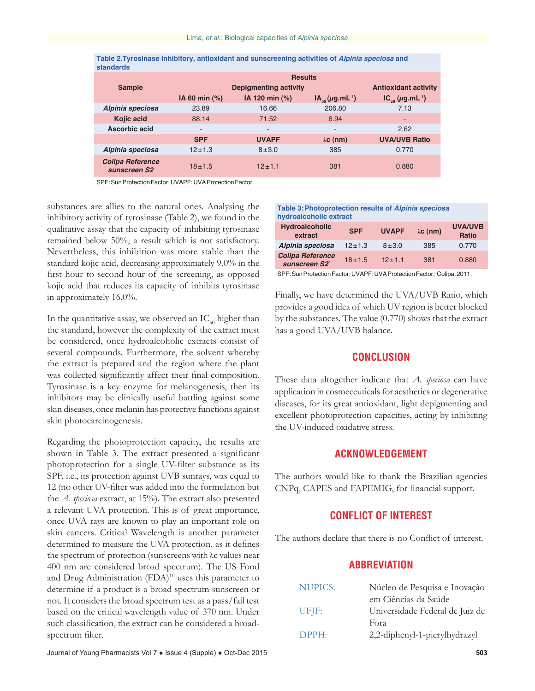| Table 2. Tyrosinase inhibitory, antioxidant and sunscreening activities of Alpinia speciosa and |  |  |  |
|-------------------------------------------------------------------------------------------------|--|--|--|
| <b>standards</b>                                                                                |  |  |  |

|                                         | <b>Results</b> |                          |                                  |                                              |
|-----------------------------------------|----------------|--------------------------|----------------------------------|----------------------------------------------|
| <b>Sample</b>                           |                | Depigmenting activity    |                                  | <b>Antioxidant activity</b>                  |
|                                         | IA 60 min (%)  | IA 120 min (%)           | $IA_{\epsilon_0}(\mu g.mL^{-1})$ | $IC_{\scriptscriptstyle{60}}(\mu g.mL^{-1})$ |
| Alpinia speciosa                        | 23.89          | 16.66                    | 206.80                           | 7.13                                         |
| Kojic acid                              | 88.14          | 71.52                    | 6.94                             | ۰                                            |
| Ascorbic acid                           | ۰              | $\overline{\phantom{a}}$ | -                                | 2.62                                         |
|                                         | <b>SPF</b>     | <b>UVAPF</b>             | $\lambda c$ (nm)                 | <b>UVA/UVB Ratio</b>                         |
| Alpinia speciosa                        | $12 + 1.3$     | $8 + 3.0$                | 385                              | 0.770                                        |
| <b>Colipa Reference</b><br>sunscreen S2 | $18 + 1.5$     | $12 + 1.1$               | 381                              | 0.880                                        |

SPF: Sun Protection Factor; UVAPF: UVA Protection Factor.

substances are allies to the natural ones. Analysing the inhibitory activity of tyrosinase (Table 2), we found in the qualitative assay that the capacity of inhibiting tyrosinase remained below 50%, a result which is not satisfactory. Nevertheless, this inhibition was more stable than the standard kojic acid, decreasing approximately 9.0% in the first hour to second hour of the screening, as opposed kojic acid that reduces its capacity of inhibits tyrosinase in approximately 16.0%.

In the quantitative assay, we observed an  $IC_{50}$  higher than the standard, however the complexity of the extract must be considered, once hydroalcoholic extracts consist of several compounds. Furthermore, the solvent whereby the extract is prepared and the region where the plant was collected significantly affect their final composition. Tyrosinase is a key enzyme for melanogenesis, then its inhibitors may be clinically useful battling against some skin diseases, once melanin has protective functions against skin photocarcinogenesis.

Regarding the photoprotection capacity, the results are shown in Table 3. The extract presented a significant photoprotection for a single UV-filter substance as its SPF, i.e., its protection against UVB sunrays, was equal to 12 (no other UV-filter was added into the formulation but the *A. speciosa* extract, at 15%). The extract also presented a relevant UVA protection. This is of great importance, once UVA rays are known to play an important role on skin cancers. Critical Wavelength is another parameter determined to measure the UVA protection, as it defines the spectrum of protection (sunscreens with λc values near 400 nm are considered broad spectrum). The US Food and Drug Administration (FDA)<sup>10</sup> uses this parameter to determine if a product is a broad spectrum sunscreen or not. It considers the broad spectrum test as a pass/fail test based on the critical wavelength value of 370 nm. Under such classification, the extract can be considered a broadspectrum filter.

#### **Table 3:Photoprotection results of** *Alpinia speciosa* **hydroalcoholic extract**

| <b>Hydroalcoholic</b><br>extract         | <b>SPF</b>   | <b>UVAPF</b> | $\lambda c$ (nm) | <b>UVA/UVB</b><br><b>Ratio</b> |
|------------------------------------------|--------------|--------------|------------------|--------------------------------|
| Alpinia speciosa                         | $12 \pm 1.3$ | $8 + 3.0$    | 385              | 0.770                          |
| <b>Colipa Reference</b><br>sunscreen S2* | $18 + 1.5$   | $12 \pm 1.1$ | 381              | 0.880                          |

SPF: Sun Protection Factor; UVAPF: UVA Protection Factor; 'Colipa, 2011.

Finally, we have determined the UVA/UVB Ratio, which provides a good idea of which UV region is better blocked by the substances. The value (0.770) shows that the extract has a good UVA/UVB balance.

## **CONCLUSION**

These data altogether indicate that *A. speciosa* can have application in cosmeceuticals for aesthetics or degenerative diseases, for its great antioxidant, light depigmenting and excellent photoprotection capacities, acting by inhibiting the UV-induced oxidative stress.

## **ACKNOWLEDGEMENT**

The authors would like to thank the Brazilian agencies CNPq, CAPES and FAPEMIG, for financial support.

## **CONFLICT OF INTEREST**

The authors declare that there is no Conflict of interest.

## **ABBREVIATION**

| <b>NUPICS:</b> | Núcleo de Pesquisa e Inovação   |  |  |
|----------------|---------------------------------|--|--|
|                | em Ciências da Saúde            |  |  |
| UFJF:          | Universidade Federal de Juiz de |  |  |
|                | Fora                            |  |  |
| DPPH:          | 2,2-diphenyl-1-picrylhydrazyl   |  |  |